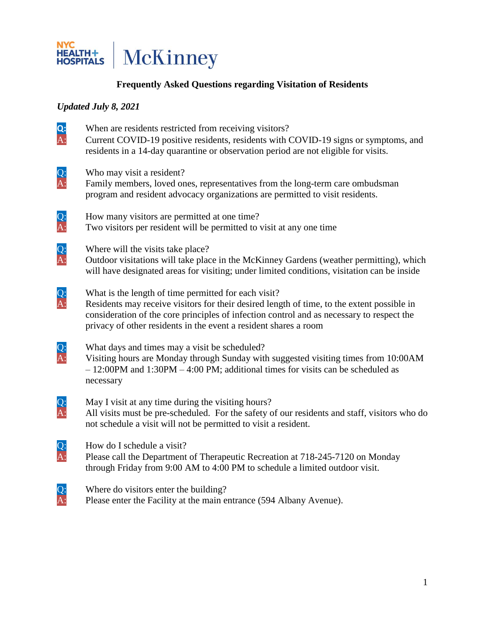

## **Frequently Asked Questions regarding Visitation of Residents**

## *Updated July 8, 2021*

**Q:** When are residents restricted from receiving visitors?<br>A: Current COVID-19 positive residents, residents with C Current COVID-19 positive residents, residents with COVID-19 signs or symptoms, and residents in a 14-day quarantine or observation period are not eligible for visits. Q: Who may visit a resident?<br>A: Family members, loved on Family members, loved ones, representatives from the long-term care ombudsman program and resident advocacy organizations are permitted to visit residents. Q: How many visitors are permitted at one time?<br>A: Two visitors per resident will be permitted to Two visitors per resident will be permitted to visit at any one time  $Q:$  Where will the visits take place?<br>A: Outdoor visitations will take place Outdoor visitations will take place in the McKinney Gardens (weather permitting), which will have designated areas for visiting; under limited conditions, visitation can be inside Q: What is the length of time permitted for each visit?<br>A: Residents may receive visitors for their desired length Residents may receive visitors for their desired length of time, to the extent possible in consideration of the core principles of infection control and as necessary to respect the privacy of other residents in the event a resident shares a room Q: What days and times may a visit be scheduled?<br>A: Visiting hours are Monday through Sunday with Visiting hours are Monday through Sunday with suggested visiting times from 10:00AM – 12:00PM and 1:30PM – 4:00 PM; additional times for visits can be scheduled as necessary Q: May I visit at any time during the visiting hours?<br>A: All visits must be pre-scheduled. For the safety of All visits must be pre-scheduled. For the safety of our residents and staff, visitors who do not schedule a visit will not be permitted to visit a resident. Q: How do I schedule a visit?<br>A: Please call the Department Please call the Department of Therapeutic Recreation at 718-245-7120 on Monday through Friday from 9:00 AM to 4:00 PM to schedule a limited outdoor visit. Q: Where do visitors enter the building?<br>A: Please enter the Facility at the main en Please enter the Facility at the main entrance (594 Albany Avenue).